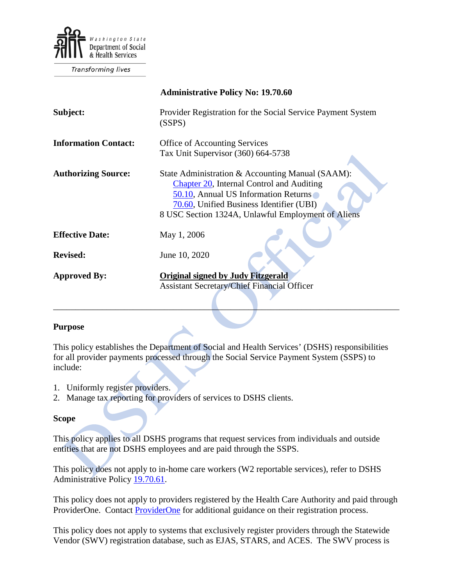

Transforming lives

|                             | <b>Administrative Policy No: 19.70.60</b>                                                                                                                                                                                               |
|-----------------------------|-----------------------------------------------------------------------------------------------------------------------------------------------------------------------------------------------------------------------------------------|
| Subject:                    | Provider Registration for the Social Service Payment System<br>(SSPS)                                                                                                                                                                   |
| <b>Information Contact:</b> | <b>Office of Accounting Services</b><br>Tax Unit Supervisor (360) 664-5738                                                                                                                                                              |
| <b>Authorizing Source:</b>  | State Administration & Accounting Manual (SAAM):<br>Chapter 20, Internal Control and Auditing<br>50.10, Annual US Information Returns<br>70.60, Unified Business Identifier (UBI)<br>8 USC Section 1324A, Unlawful Employment of Aliens |
| <b>Effective Date:</b>      | May 1, 2006                                                                                                                                                                                                                             |
| <b>Revised:</b>             | June 10, 2020                                                                                                                                                                                                                           |
| <b>Approved By:</b>         | <b>Original signed by Judy Fitzgerald</b><br><b>Assistant Secretary/Chief Financial Officer</b>                                                                                                                                         |

#### **Purpose**

This policy establishes the Department of Social and Health Services' (DSHS) responsibilities for all provider payments processed through the Social Service Payment System (SSPS) to include:

- 1. Uniformly register providers.
- 2. Manage tax reporting for providers of services to DSHS clients.

#### **Scope**

This policy applies to all DSHS programs that request services from individuals and outside entities that are not DSHS employees and are paid through the SSPS.

This policy does not apply to in-home care workers (W2 reportable services), refer to DSHS Administrative Policy [19.70.61.](http://one.dshs.wa.lcl/Policies/Administrative/DSHS-AP-19-70-61.pdf)

This policy does not apply to providers registered by the Health Care Authority and paid through ProviderOne. Contact **ProviderOne** for additional guidance on their registration process.

This policy does not apply to systems that exclusively register providers through the Statewide Vendor (SWV) registration database, such as EJAS, STARS, and ACES. The SWV process is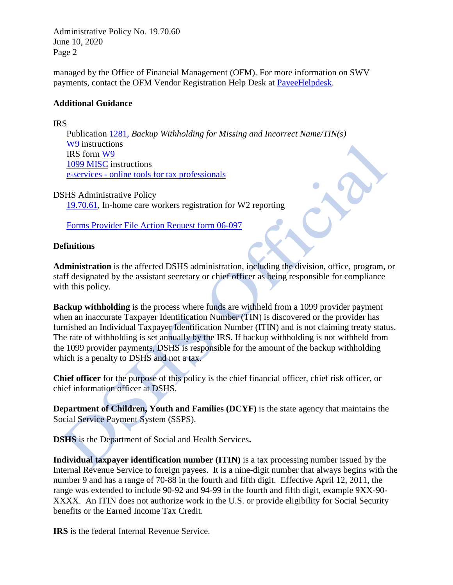Administrative Policy No. 19.70.60 June 10, 2020 Page 2

managed by the Office of Financial Management (OFM). For more information on SWV payments, contact the OFM Vendor Registration Help Desk at [PayeeHelpdesk.](mailto:PayeeHelpDesk@des.wa.gov)

#### **Additional Guidance**

IRS

Publication [1281,](http://www.irs.gov/pub/irs-pdf/p1281.pdf) *Backup Withholding for Missing and Incorrect Name/TIN(s)* [W9](http://www.irs.gov/pub/irs-pdf/iw9.pdf) instructions IRS form [W9](http://www.irs.gov/pub/irs-pdf/fw9.pdf?portlet=103) [1099 MISC](http://www.irs.gov/pub/irs-pdf/i1099msc.pdf) instructions e-services - [online tools for tax professionals](http://www.irs.gov/taxpros/article/0,,id=109646,00.html)

DSHS Administrative Policy [19.70.61,](http://one.dshs.wa.lcl/Policies/Administrative/DSHS-AP-19-70-61.pdf) In-home care workers registration for W2 reporting

Forms [Provider File Action Request form 06-097](https://sspsmenu.ssps.dshs.wa.lcl/ProviderFileUnit.aspx)

# **Definitions**

**Administration** is the affected DSHS administration, including the division, office, program, or staff designated by the assistant secretary or chief officer as being responsible for compliance with this policy.

**Backup withholding** is the process where funds are withheld from a 1099 provider payment when an inaccurate Taxpayer Identification Number (TIN) is discovered or the provider has furnished an Individual Taxpayer Identification Number (ITIN) and is not claiming treaty status. The rate of withholding is set annually by the IRS. If backup withholding is not withheld from the 1099 provider payments, DSHS is responsible for the amount of the backup withholding which is a penalty to DSHS and not a tax.

**Chief officer** for the purpose of this policy is the chief financial officer, chief risk officer, or chief information officer at DSHS.

**Department of Children, Youth and Families (DCYF)** is the state agency that maintains the Social Service Payment System (SSPS).

**DSHS** is the Department of Social and Health Services**.**

**Individual taxpayer identification number (ITIN)** is a tax processing number issued by the Internal Revenue Service to foreign payees. It is a nine-digit number that always begins with the number 9 and has a range of 70-88 in the fourth and fifth digit. Effective April 12, 2011, the range was extended to include 90-92 and 94-99 in the fourth and fifth digit, example 9XX-90- XXXX. An ITIN does not authorize work in the U.S. or provide eligibility for Social Security benefits or the Earned Income Tax Credit.

**IRS** is the federal Internal Revenue Service.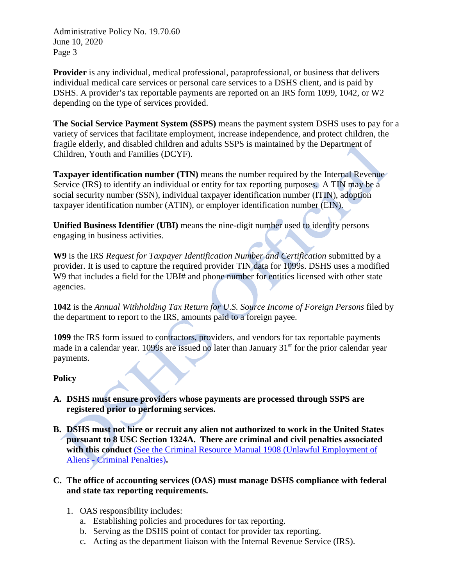Administrative Policy No. 19.70.60 June 10, 2020 Page 3

**Provider** is any individual, medical professional, paraprofessional, or business that delivers individual medical care services or personal care services to a DSHS client, and is paid by DSHS. A provider's tax reportable payments are reported on an IRS form 1099, 1042, or W2 depending on the type of services provided.

**The Social Service Payment System (SSPS)** means the payment system DSHS uses to pay for a variety of services that facilitate employment, increase independence, and protect children, the fragile elderly, and disabled children and adults SSPS is maintained by the Department of Children, Youth and Families (DCYF).

**Taxpayer identification number (TIN)** means the number required by the Internal Revenue Service (IRS) to identify an individual or entity for tax reporting purposes. A TIN may be a social security number (SSN), individual taxpayer identification number (ITIN), adoption taxpayer identification number (ATIN), or employer identification number (EIN).

**Unified Business Identifier (UBI)** means the nine-digit number used to identify persons engaging in business activities.

**W9** is the IRS *Request for Taxpayer Identification Number and Certification* submitted by a provider. It is used to capture the required provider TIN data for 1099s. DSHS uses a modified W9 that includes a field for the UBI# and phone number for entities licensed with other state agencies.

**1042** is the *Annual Withholding Tax Return for U.S. Source Income of Foreign Persons* filed by the department to report to the IRS, amounts paid to a foreign payee.

**1099** the IRS form issued to contractors, providers, and vendors for tax reportable payments made in a calendar year. 1099s are issued no later than January 31<sup>st</sup> for the prior calendar year payments.

# **Policy**

- **A. DSHS must ensure providers whose payments are processed through SSPS are registered prior to performing services.**
- **B. DSHS must not hire or recruit any alien not authorized to work in the United States pursuant to 8 USC Section 1324A. There are criminal and civil penalties associated with this conduct** [\(See the Criminal Resource Manual 1908 \(Unlawful Employment of](https://www.justice.gov/archives/jm/criminal-resource-manual-1908-unlawful-employment-aliens-criminal-penalties)  Aliens - [Criminal Penalties\)](https://www.justice.gov/archives/jm/criminal-resource-manual-1908-unlawful-employment-aliens-criminal-penalties)**.**
- **C. The office of accounting services (OAS) must manage DSHS compliance with federal and state tax reporting requirements.**
	- 1. OAS responsibility includes:
		- a. Establishing policies and procedures for tax reporting.
		- b. Serving as the DSHS point of contact for provider tax reporting.
		- c. Acting as the department liaison with the Internal Revenue Service (IRS).